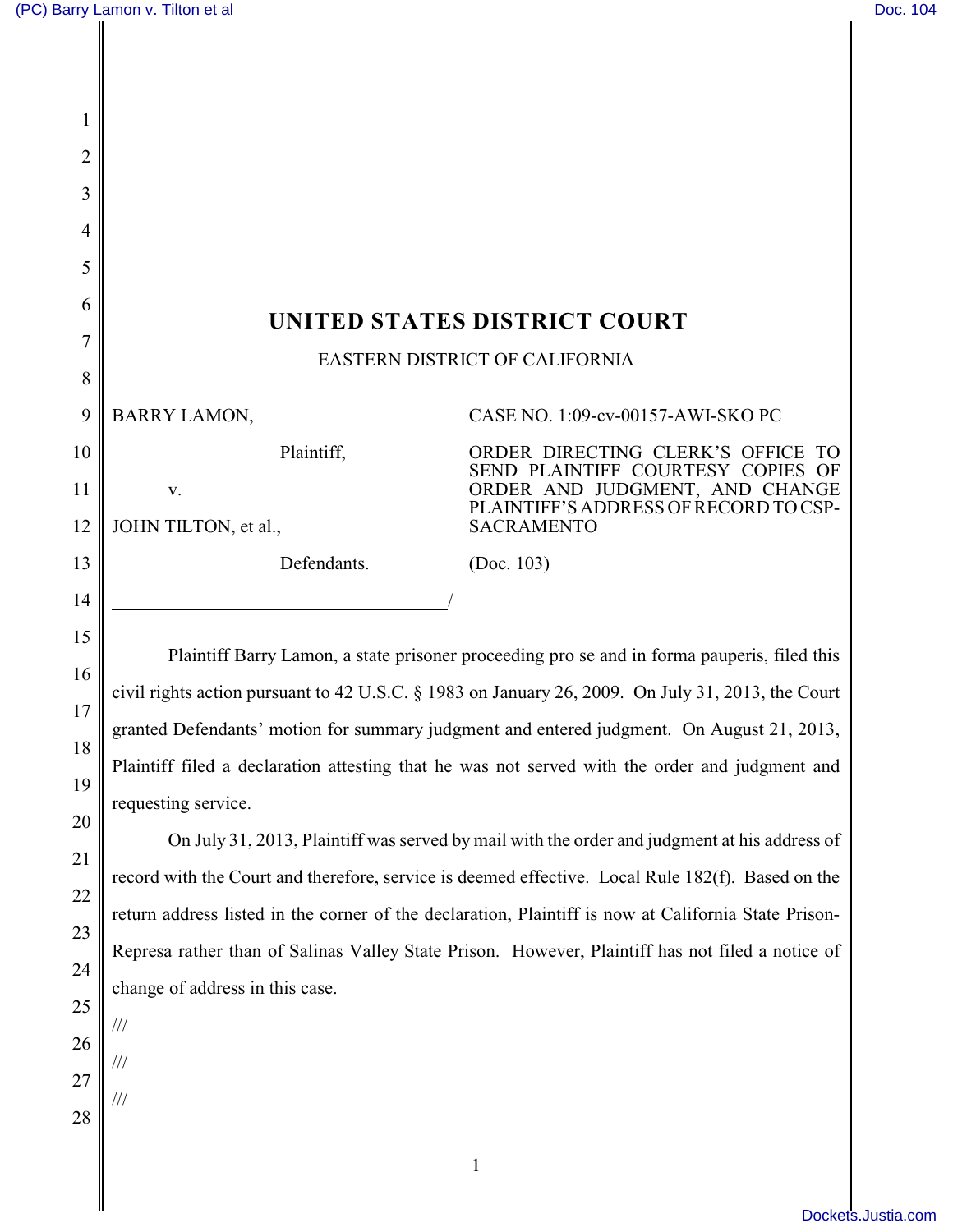| 1              |                                                                                                   |                                                                                           |  |
|----------------|---------------------------------------------------------------------------------------------------|-------------------------------------------------------------------------------------------|--|
| 2              |                                                                                                   |                                                                                           |  |
| 3              |                                                                                                   |                                                                                           |  |
| $\overline{4}$ |                                                                                                   |                                                                                           |  |
| 5              |                                                                                                   |                                                                                           |  |
| 6              |                                                                                                   |                                                                                           |  |
| 7              | UNITED STATES DISTRICT COURT                                                                      |                                                                                           |  |
| 8              | EASTERN DISTRICT OF CALIFORNIA                                                                    |                                                                                           |  |
| 9              | <b>BARRY LAMON,</b>                                                                               | CASE NO. 1:09-cv-00157-AWI-SKO PC                                                         |  |
| 10             | Plaintiff,                                                                                        | ORDER DIRECTING CLERK'S OFFICE<br>SEND PLAINTIFF COURTESY COPIES OF                       |  |
| 11             | V.                                                                                                | ORDER AND JUDGMENT, AND CHANGE<br>PLAINTIFF'S ADDRESS OF RECORD TO CSP-                   |  |
| 12             | JOHN TILTON, et al.,                                                                              | <b>SACRAMENTO</b>                                                                         |  |
| 13             | Defendants.                                                                                       | (Doc. 103)                                                                                |  |
| 14             |                                                                                                   |                                                                                           |  |
| 15             |                                                                                                   |                                                                                           |  |
| 16             | Plaintiff Barry Lamon, a state prisoner proceeding pro se and in forma pauperis, filed this       |                                                                                           |  |
| 17             | civil rights action pursuant to 42 U.S.C. § 1983 on January 26, 2009. On July 31, 2013, the Court |                                                                                           |  |
|                |                                                                                                   | granted Defendants' motion for summary judgment and entered judgment. On August 21, 2013. |  |

granted Defendants' motion for summary judgment and entered judgment. On August 21, 2013, Plaintiff filed a declaration attesting that he was not served with the order and judgment and requesting service.

On July 31, 2013, Plaintiff was served by mail with the order and judgment at his address of record with the Court and therefore, service is deemed effective. Local Rule 182(f). Based on the return address listed in the corner of the declaration, Plaintiff is now at California State Prison-Represa rather than of Salinas Valley State Prison. However, Plaintiff has not filed a notice of change of address in this case.

25 26 27

///

///

///

18

19

20

21

22

23

24

28